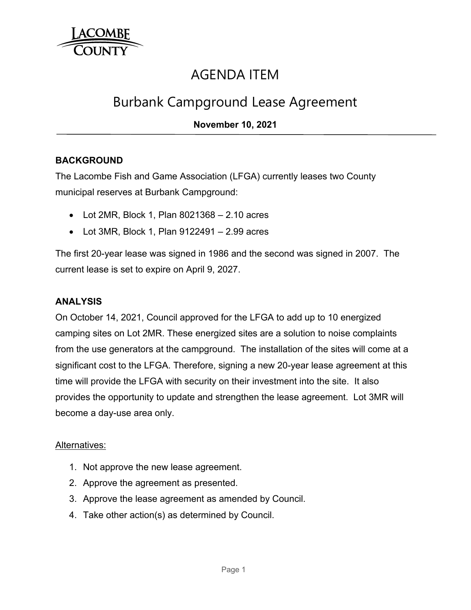

# AGENDA ITEM

# Burbank Campground Lease Agreement

## **November 10, 2021**

## **BACKGROUND**

The Lacombe Fish and Game Association (LFGA) currently leases two County municipal reserves at Burbank Campground:

- $\bullet$  Lot 2MR, Block 1, Plan 8021368 2.10 acres
- Lot 3MR, Block 1, Plan 9122491 2.99 acres

The first 20-year lease was signed in 1986 and the second was signed in 2007. The current lease is set to expire on April 9, 2027.

## **ANALYSIS**

On October 14, 2021, Council approved for the LFGA to add up to 10 energized camping sites on Lot 2MR. These energized sites are a solution to noise complaints from the use generators at the campground. The installation of the sites will come at a significant cost to the LFGA. Therefore, signing a new 20-year lease agreement at this time will provide the LFGA with security on their investment into the site. It also provides the opportunity to update and strengthen the lease agreement. Lot 3MR will become a day-use area only.

#### Alternatives:

- 1. Not approve the new lease agreement.
- 2. Approve the agreement as presented.
- 3. Approve the lease agreement as amended by Council.
- 4. Take other action(s) as determined by Council.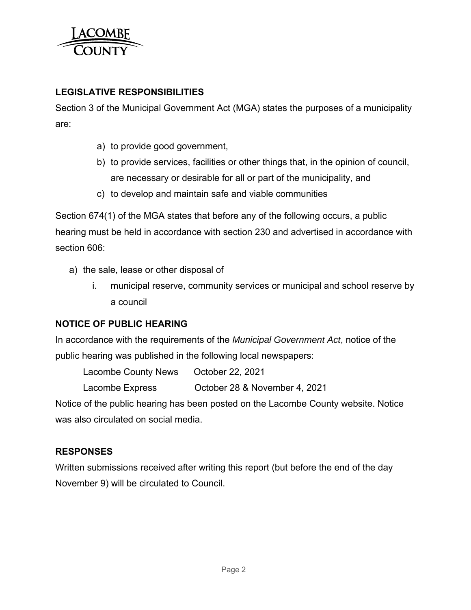

# **LEGISLATIVE RESPONSIBILITIES**

Section 3 of the Municipal Government Act (MGA) states the purposes of a municipality are:

- a) to provide good government,
- b) to provide services, facilities or other things that, in the opinion of council, are necessary or desirable for all or part of the municipality, and
- c) to develop and maintain safe and viable communities

Section 674(1) of the MGA states that before any of the following occurs, a public hearing must be held in accordance with section 230 and advertised in accordance with section 606:

- a) the sale, lease or other disposal of
	- i. municipal reserve, community services or municipal and school reserve by a council

## **NOTICE OF PUBLIC HEARING**

In accordance with the requirements of the *Municipal Government Act*, notice of the public hearing was published in the following local newspapers:

Lacombe County News October 22, 2021

Lacombe Express October 28 & November 4, 2021

Notice of the public hearing has been posted on the Lacombe County website. Notice was also circulated on social media.

## **RESPONSES**

Written submissions received after writing this report (but before the end of the day November 9) will be circulated to Council.